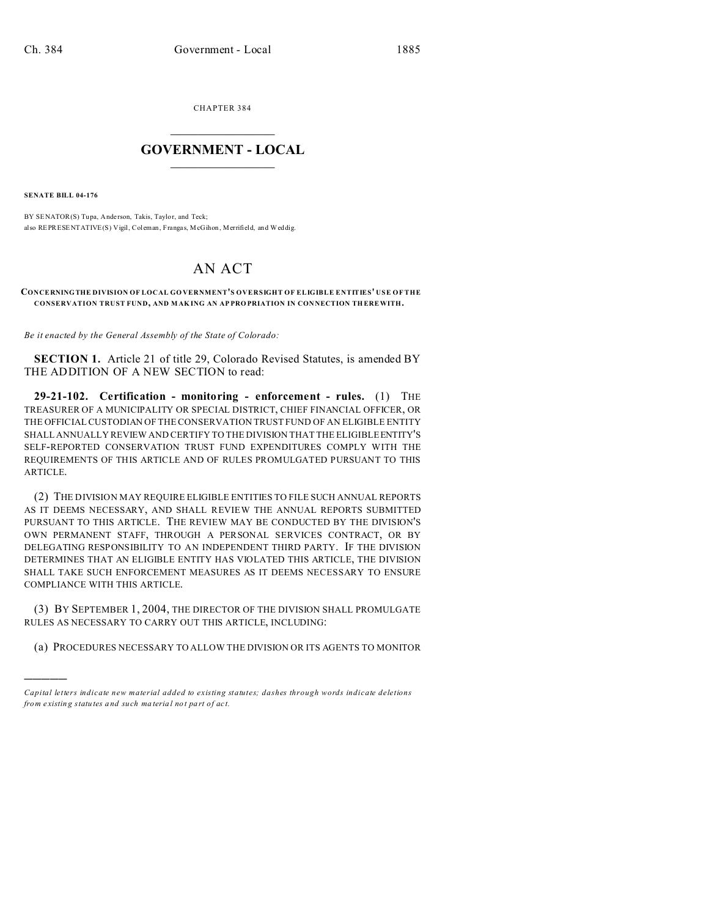CHAPTER 384  $\overline{\phantom{a}}$  , where  $\overline{\phantom{a}}$ 

## **GOVERNMENT - LOCAL**  $\_$   $\_$

**SENATE BILL 04-176**

)))))

BY SENATOR(S) Tupa, Anderson, Takis, Taylor, and Teck; also  $\operatorname{REPRESENTATIVE}(S)$ Vigil, Coleman, Frangas, McGihon, Merrifield, and Weddig.

## AN ACT

## **CONCERNINGTHE DIVISION OF LOCAL GO VERNMENT'S OVERSIGHT OF ELIGIBLE ENTITIES' USE OF THE CONSERVATION TRUST FUND, AND MAK ING AN AP PRO PRIATION IN CON NECTION TH EREWITH.**

*Be it enacted by the General Assembly of the State of Colorado:*

**SECTION 1.** Article 21 of title 29, Colorado Revised Statutes, is amended BY THE ADDITION OF A NEW SECTION to read:

**29-21-102. Certification - monitoring - enforcement - rules.** (1) THE TREASURER OF A MUNICIPALITY OR SPECIAL DISTRICT, CHIEF FINANCIAL OFFICER, OR THE OFFICIAL CUSTODIAN OF THE CONSERVATION TRUST FUND OF AN ELIGIBLE ENTITY SHALL ANNUALLY REVIEW AND CERTIFY TO THE DIVISION THAT THE ELIGIBLE ENTITY'S SELF-REPORTED CONSERVATION TRUST FUND EXPENDITURES COMPLY WITH THE REQUIREMENTS OF THIS ARTICLE AND OF RULES PROMULGATED PURSUANT TO THIS ARTICLE.

(2) THE DIVISION MAY REQUIRE ELIGIBLE ENTITIES TO FILE SUCH ANNUAL REPORTS AS IT DEEMS NECESSARY, AND SHALL REVIEW THE ANNUAL REPORTS SUBMITTED PURSUANT TO THIS ARTICLE. THE REVIEW MAY BE CONDUCTED BY THE DIVISION'S OWN PERMANENT STAFF, THROUGH A PERSONAL SERVICES CONTRACT, OR BY DELEGATING RESPONSIBILITY TO AN INDEPENDENT THIRD PARTY. IF THE DIVISION DETERMINES THAT AN ELIGIBLE ENTITY HAS VIOLATED THIS ARTICLE, THE DIVISION SHALL TAKE SUCH ENFORCEMENT MEASURES AS IT DEEMS NECESSARY TO ENSURE COMPLIANCE WITH THIS ARTICLE.

(3) BY SEPTEMBER 1, 2004, THE DIRECTOR OF THE DIVISION SHALL PROMULGATE RULES AS NECESSARY TO CARRY OUT THIS ARTICLE, INCLUDING:

(a) PROCEDURES NECESSARY TO ALLOW THE DIVISION OR ITS AGENTS TO MONITOR

*Capital letters indicate new material added to existing statutes; dashes through words indicate deletions from e xistin g statu tes a nd such ma teria l no t pa rt of ac t.*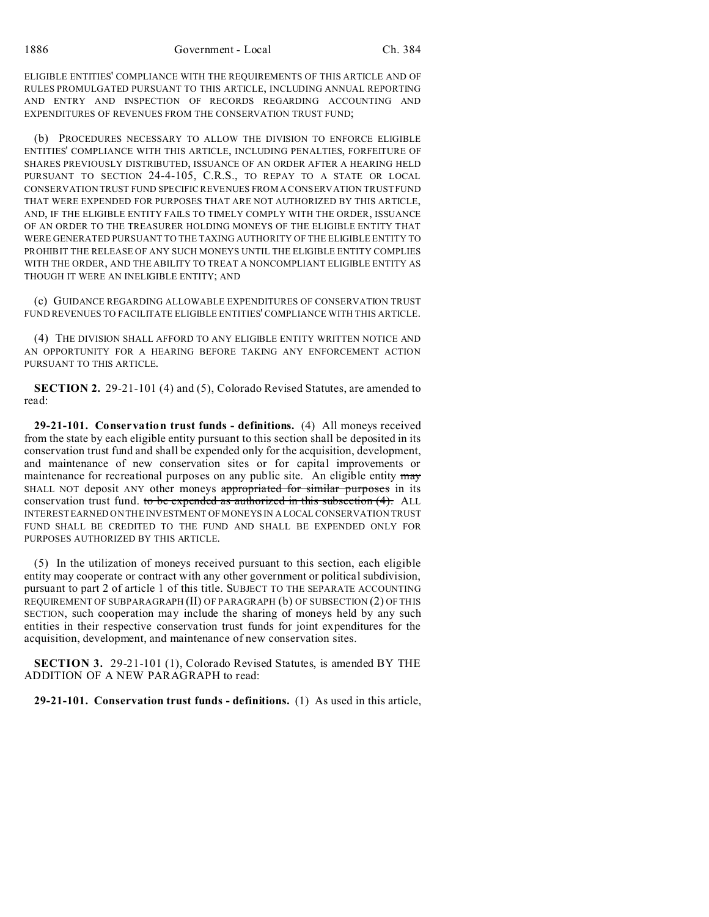ELIGIBLE ENTITIES' COMPLIANCE WITH THE REQUIREMENTS OF THIS ARTICLE AND OF RULES PROMULGATED PURSUANT TO THIS ARTICLE, INCLUDING ANNUAL REPORTING AND ENTRY AND INSPECTION OF RECORDS REGARDING ACCOUNTING AND EXPENDITURES OF REVENUES FROM THE CONSERVATION TRUST FUND;

(b) PROCEDURES NECESSARY TO ALLOW THE DIVISION TO ENFORCE ELIGIBLE ENTITIES' COMPLIANCE WITH THIS ARTICLE, INCLUDING PENALTIES, FORFEITURE OF SHARES PREVIOUSLY DISTRIBUTED, ISSUANCE OF AN ORDER AFTER A HEARING HELD PURSUANT TO SECTION 24-4-105, C.R.S., TO REPAY TO A STATE OR LOCAL CONSERVATION TRUST FUND SPECIFIC REVENUES FROM A CONSERVATION TRUST FUND THAT WERE EXPENDED FOR PURPOSES THAT ARE NOT AUTHORIZED BY THIS ARTICLE, AND, IF THE ELIGIBLE ENTITY FAILS TO TIMELY COMPLY WITH THE ORDER, ISSUANCE OF AN ORDER TO THE TREASURER HOLDING MONEYS OF THE ELIGIBLE ENTITY THAT WERE GENERATED PURSUANT TO THE TAXING AUTHORITY OF THE ELIGIBLE ENTITY TO PROHIBIT THE RELEASE OF ANY SUCH MONEYS UNTIL THE ELIGIBLE ENTITY COMPLIES WITH THE ORDER, AND THE ABILITY TO TREAT A NONCOMPLIANT ELIGIBLE ENTITY AS THOUGH IT WERE AN INELIGIBLE ENTITY; AND

(c) GUIDANCE REGARDING ALLOWABLE EXPENDITURES OF CONSERVATION TRUST FUND REVENUES TO FACILITATE ELIGIBLE ENTITIES' COMPLIANCE WITH THIS ARTICLE.

(4) THE DIVISION SHALL AFFORD TO ANY ELIGIBLE ENTITY WRITTEN NOTICE AND AN OPPORTUNITY FOR A HEARING BEFORE TAKING ANY ENFORCEMENT ACTION PURSUANT TO THIS ARTICLE.

**SECTION 2.** 29-21-101 (4) and (5), Colorado Revised Statutes, are amended to read:

**29-21-101. Conservation trust funds - definitions.** (4) All moneys received from the state by each eligible entity pursuant to this section shall be deposited in its conservation trust fund and shall be expended only for the acquisition, development, and maintenance of new conservation sites or for capital improvements or maintenance for recreational purposes on any public site. An eligible entity may SHALL NOT deposit ANY other moneys appropriated for similar purposes in its conservation trust fund. to be expended as authorized in this subsection (4). ALL INTEREST EARNED ON THE INVESTMENT OF MONEYS IN A LOCAL CONSERVATION TRUST FUND SHALL BE CREDITED TO THE FUND AND SHALL BE EXPENDED ONLY FOR PURPOSES AUTHORIZED BY THIS ARTICLE.

(5) In the utilization of moneys received pursuant to this section, each eligible entity may cooperate or contract with any other government or political subdivision, pursuant to part 2 of article 1 of this title. SUBJECT TO THE SEPARATE ACCOUNTING REQUIREMENT OF SUBPARAGRAPH (II) OF PARAGRAPH (b) OF SUBSECTION (2) OF THIS SECTION, such cooperation may include the sharing of moneys held by any such entities in their respective conservation trust funds for joint expenditures for the acquisition, development, and maintenance of new conservation sites.

**SECTION 3.** 29-21-101 (1), Colorado Revised Statutes, is amended BY THE ADDITION OF A NEW PARAGRAPH to read:

**29-21-101. Conservation trust funds - definitions.** (1) As used in this article,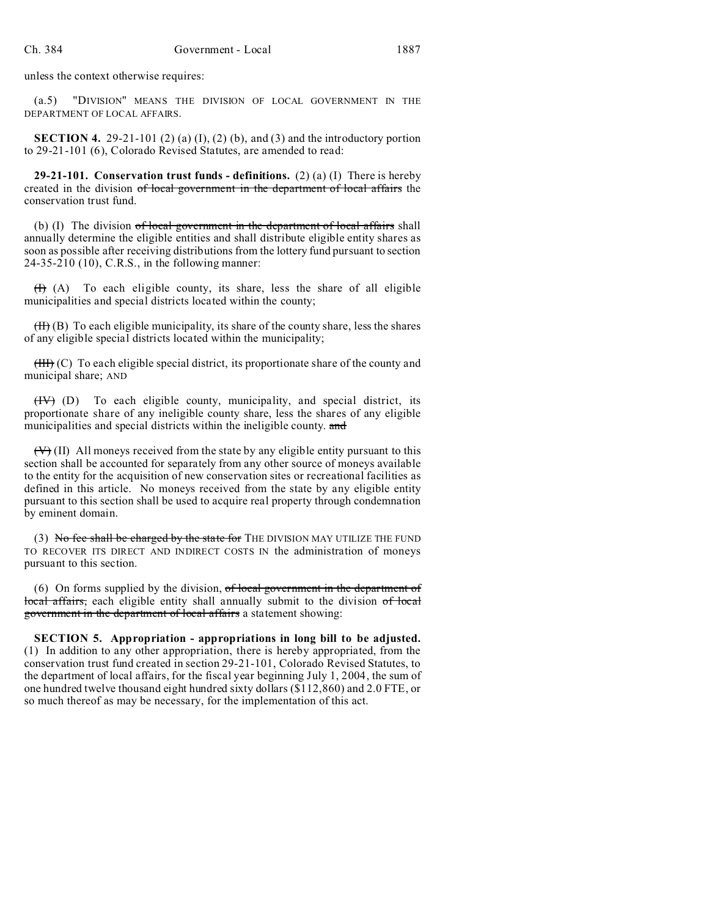unless the context otherwise requires:

(a.5) "DIVISION" MEANS THE DIVISION OF LOCAL GOVERNMENT IN THE DEPARTMENT OF LOCAL AFFAIRS.

**SECTION 4.** 29-21-101 (2) (a) (I), (2) (b), and (3) and the introductory portion to 29-21-101 (6), Colorado Revised Statutes, are amended to read:

**29-21-101. Conservation trust funds - definitions.** (2) (a) (I) There is hereby created in the division of local government in the department of local affairs the conservation trust fund.

(b)  $(I)$  The division  $of$  local government in the department of local affairs shall annually determine the eligible entities and shall distribute eligible entity shares as soon as possible after receiving distributions from the lottery fund pursuant to section 24-35-210 (10), C.R.S., in the following manner:

 $(H)$  (A) To each eligible county, its share, less the share of all eligible municipalities and special districts located within the county;

 $(H)$  (B) To each eligible municipality, its share of the county share, less the shares of any eligible special districts located within the municipality;

 $(HH)(C)$  To each eligible special district, its proportionate share of the county and municipal share; AND

(IV) (D) To each eligible county, municipality, and special district, its proportionate share of any ineligible county share, less the shares of any eligible municipalities and special districts within the ineligible county. and

 $(V)$  (II) All moneys received from the state by any eligible entity pursuant to this section shall be accounted for separately from any other source of moneys available to the entity for the acquisition of new conservation sites or recreational facilities as defined in this article. No moneys received from the state by any eligible entity pursuant to this section shall be used to acquire real property through condemnation by eminent domain.

(3) No fee shall be charged by the state for THE DIVISION MAY UTILIZE THE FUND TO RECOVER ITS DIRECT AND INDIRECT COSTS IN the administration of moneys pursuant to this section.

(6) On forms supplied by the division, of local government in the department of local affairs, each eligible entity shall annually submit to the division of local government in the department of local affairs a statement showing:

**SECTION 5. Appropriation - appropriations in long bill to be adjusted.** (1) In addition to any other appropriation, there is hereby appropriated, from the conservation trust fund created in section 29-21-101, Colorado Revised Statutes, to the department of local affairs, for the fiscal year beginning July 1, 2004, the sum of one hundred twelve thousand eight hundred sixty dollars (\$112,860) and 2.0 FTE, or so much thereof as may be necessary, for the implementation of this act.